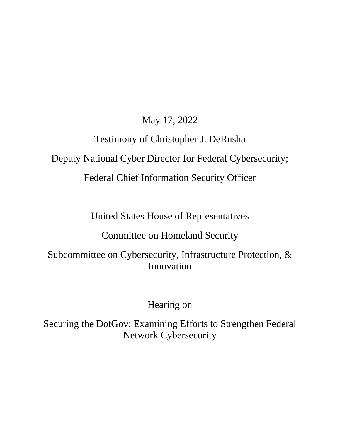May 17, 2022

## Testimony of Christopher J. DeRusha Deputy National Cyber Director for Federal Cybersecurity; Federal Chief Information Security Officer

United States House of Representatives

Committee on Homeland Security

Subcommittee on Cybersecurity, Infrastructure Protection, & Innovation

Hearing on

Securing the DotGov: Examining Efforts to Strengthen Federal Network Cybersecurity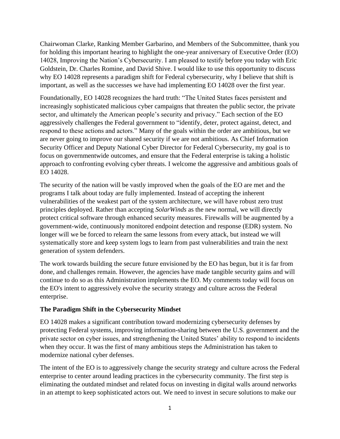Chairwoman Clarke, Ranking Member Garbarino, and Members of the Subcommittee, thank you for holding this important hearing to highlight the one-year anniversary of Executive Order (EO) 14028, Improving the Nation's Cybersecurity. I am pleased to testify before you today with Eric Goldstein, Dr. Charles Romine, and David Shive. I would like to use this opportunity to discuss why EO 14028 represents a paradigm shift for Federal cybersecurity, why I believe that shift is important, as well as the successes we have had implementing EO 14028 over the first year.

Foundationally, EO 14028 recognizes the hard truth: "The United States faces persistent and increasingly sophisticated malicious cyber campaigns that threaten the public sector, the private sector, and ultimately the American people's security and privacy." Each section of the EO aggressively challenges the Federal government to "identify, deter, protect against, detect, and respond to these actions and actors." Many of the goals within the order are ambitious, but we are never going to improve our shared security if we are not ambitious. As Chief Information Security Officer and Deputy National Cyber Director for Federal Cybersecurity, my goal is to focus on governmentwide outcomes, and ensure that the Federal enterprise is taking a holistic approach to confronting evolving cyber threats. I welcome the aggressive and ambitious goals of EO 14028.

The security of the nation will be vastly improved when the goals of the EO are met and the programs I talk about today are fully implemented. Instead of accepting the inherent vulnerabilities of the weakest part of the system architecture, we will have robust zero trust principles deployed. Rather than accepting *SolarWinds* as the new normal, we will directly protect critical software through enhanced security measures. Firewalls will be augmented by a government-wide, continuously monitored endpoint detection and response (EDR) system. No longer will we be forced to relearn the same lessons from every attack, but instead we will systematically store and keep system logs to learn from past vulnerabilities and train the next generation of system defenders.

The work towards building the secure future envisioned by the EO has begun, but it is far from done, and challenges remain. However, the agencies have made tangible security gains and will continue to do so as this Administration implements the EO. My comments today will focus on the EO's intent to aggressively evolve the security strategy and culture across the Federal enterprise.

## **The Paradigm Shift in the Cybersecurity Mindset**

EO 14028 makes a significant contribution toward modernizing cybersecurity defenses by protecting Federal systems, improving information-sharing between the U.S. government and the private sector on cyber issues, and strengthening the United States' ability to respond to incidents when they occur. It was the first of many ambitious steps the Administration has taken to modernize national cyber defenses.

The intent of the EO is to aggressively change the security strategy and culture across the Federal enterprise to center around leading practices in the cybersecurity community. The first step is eliminating the outdated mindset and related focus on investing in digital walls around networks in an attempt to keep sophisticated actors out. We need to invest in secure solutions to make our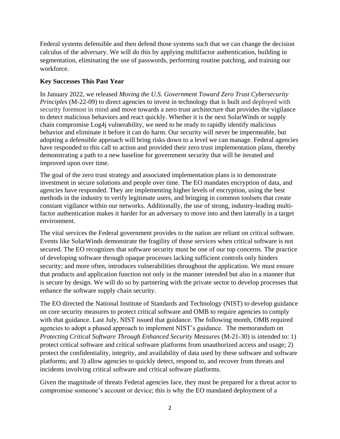Federal systems defensible and then defend those systems such that we can change the decision calculus of the adversary. We will do this by applying multifactor authentication, building in segmentation, eliminating the use of passwords, performing routine patching, and training our workforce.

## **Key Successes This Past Year**

In January 2022, we released *Moving the U.S. Government Toward Zero Trust Cybersecurity Principles* (M-22-09) to direct agencies to invest in technology that is built and deployed with security foremost in mind and move towards a zero trust architecture that provides the vigilance to detect malicious behaviors and react quickly. Whether it is the next SolarWinds or supply chain compromise Log4j vulnerability, we need to be ready to rapidly identify malicious behavior and eliminate it before it can do harm. Our security will never be impermeable, but adopting a defensible approach will bring risks down to a level we can manage. Federal agencies have responded to this call to action and provided their zero trust implementation plans, thereby demonstrating a path to a new baseline for government security that will be iterated and improved upon over time.

The goal of the zero trust strategy and associated implementation plans is to demonstrate investment in secure solutions and people over time. The EO mandates encryption of data, and agencies have responded. They are implementing higher levels of encryption, using the best methods in the industry to verify legitimate users, and bringing in common toolsets that create constant vigilance within our networks. Additionally, the use of strong, industry-leading multifactor authentication makes it harder for an adversary to move into and then laterally in a target environment.

The vital services the Federal government provides to the nation are reliant on critical software. Events like SolarWinds demonstrate the fragility of those services when critical software is not secured. The EO recognizes that software security must be one of our top concerns. The practice of developing software through opaque processes lacking sufficient controls only hinders security; and more often, introduces vulnerabilities throughout the application. We must ensure that products and application function not only in the manner intended but also in a manner that is secure by design. We will do so by partnering with the private sector to develop processes that enhance the software supply chain security.

The EO directed the National Institute of Standards and Technology (NIST) to develop guidance on core security measures to protect critical software and OMB to require agencies to comply with that guidance. Last July, NIST issued that guidance. The following month, OMB required agencies to adopt a phased approach to implement NIST's guidance. The memorandum on *Protecting Critical Software Through Enhanced Security Measures* (M-21-30) is intended to: 1) protect critical software and critical software platforms from unauthorized access and usage; 2) protect the confidentiality, integrity, and availability of data used by these software and software platforms; and 3) allow agencies to quickly detect, respond to, and recover from threats and incidents involving critical software and critical software platforms.

Given the magnitude of threats Federal agencies face, they must be prepared for a threat actor to compromise someone's account or device; this is why the EO mandated deployment of a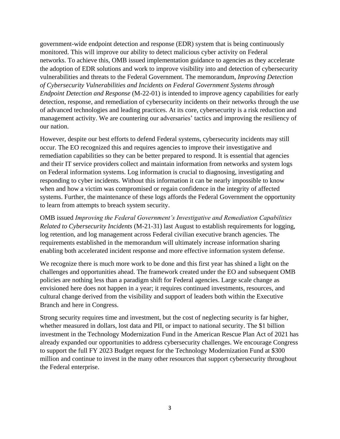government-wide endpoint detection and response (EDR) system that is being continuously monitored. This will improve our ability to detect malicious cyber activity on Federal networks. To achieve this, OMB issued implementation guidance to agencies as they accelerate the adoption of EDR solutions and work to improve visibility into and detection of cybersecurity vulnerabilities and threats to the Federal Government. The memorandum, *Improving Detection of Cybersecurity Vulnerabilities and Incidents on Federal Government Systems through Endpoint Detection and Response* (M-22-01) is intended to improve agency capabilities for early detection, response, and remediation of cybersecurity incidents on their networks through the use of advanced technologies and leading practices. At its core, cybersecurity is a risk reduction and management activity. We are countering our adversaries' tactics and improving the resiliency of our nation.

However, despite our best efforts to defend Federal systems, cybersecurity incidents may still occur. The EO recognized this and requires agencies to improve their investigative and remediation capabilities so they can be better prepared to respond. It is essential that agencies and their IT service providers collect and maintain information from networks and system logs on Federal information systems. Log information is crucial to diagnosing, investigating and responding to cyber incidents. Without this information it can be nearly impossible to know when and how a victim was compromised or regain confidence in the integrity of affected systems. Further, the maintenance of these logs affords the Federal Government the opportunity to learn from attempts to breach system security.

OMB issued *Improving the Federal Government's Investigative and Remediation Capabilities Related to Cybersecurity Incidents* (M-21-31) last August to establish requirements for logging, log retention, and log management across Federal civilian executive branch agencies. The requirements established in the memorandum will ultimately increase information sharing enabling both accelerated incident response and more effective information system defense.

We recognize there is much more work to be done and this first year has shined a light on the challenges and opportunities ahead. The framework created under the EO and subsequent OMB policies are nothing less than a paradigm shift for Federal agencies. Large scale change as envisioned here does not happen in a year; it requires continued investments, resources, and cultural change derived from the visibility and support of leaders both within the Executive Branch and here in Congress.

Strong security requires time and investment, but the cost of neglecting security is far higher, whether measured in dollars, lost data and PII, or impact to national security. The \$1 billion investment in the Technology Modernization Fund in the American Rescue Plan Act of 2021 has already expanded our opportunities to address cybersecurity challenges. We encourage Congress to support the full FY 2023 Budget request for the Technology Modernization Fund at \$300 million and continue to invest in the many other resources that support cybersecurity throughout the Federal enterprise.